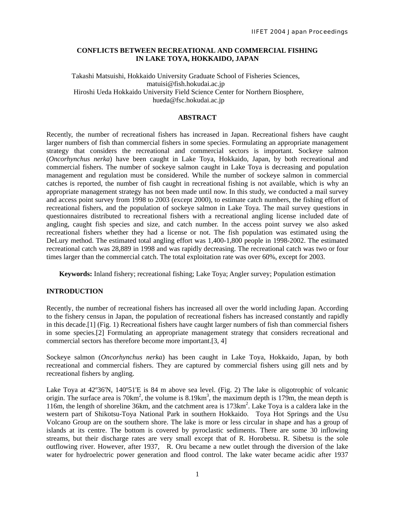## **CONFLICTS BETWEEN RECREATIONAL AND COMMERCIAL FISHING IN LAKE TOYA, HOKKAIDO, JAPAN**

Takashi Matsuishi, Hokkaido University Graduate School of Fisheries Sciences, matuisi@fish.hokudai.ac.jp Hiroshi Ueda Hokkaido University Field Science Center for Northern Biosphere, hueda@fsc.hokudai.ac.jp

#### **ABSTRACT**

Recently, the number of recreational fishers has increased in Japan. Recreational fishers have caught larger numbers of fish than commercial fishers in some species. Formulating an appropriate management strategy that considers the recreational and commercial sectors is important. Sockeye salmon (*Oncorhynchus nerka*) have been caught in Lake Toya, Hokkaido, Japan, by both recreational and commercial fishers. The number of sockeye salmon caught in Lake Toya is decreasing and population management and regulation must be considered. While the number of sockeye salmon in commercial catches is reported, the number of fish caught in recreational fishing is not available, which is why an appropriate management strategy has not been made until now. In this study, we conducted a mail survey and access point survey from 1998 to 2003 (except 2000), to estimate catch numbers, the fishing effort of recreational fishers, and the population of sockeye salmon in Lake Toya. The mail survey questions in questionnaires distributed to recreational fishers with a recreational angling license included date of angling, caught fish species and size, and catch number. In the access point survey we also asked recreational fishers whether they had a license or not. The fish population was estimated using the DeLury method. The estimated total angling effort was 1,400-1,800 people in 1998-2002. The estimated recreational catch was 28,889 in 1998 and was rapidly decreasing. The recreational catch was two or four times larger than the commercial catch. The total exploitation rate was over 60%, except for 2003.

**Keywords:** Inland fishery; recreational fishing; Lake Toya; Angler survey; Population estimation

## **INTRODUCTION**

Recently, the number of recreational fishers has increased all over the world including Japan. According to the fishery census in Japan, the population of recreational fishers has increased constantly and rapidly in this decade.[1] (Fig. 1) Recreational fishers have caught larger numbers of fish than commercial fishers in some species.[2] Formulating an appropriate management strategy that considers recreational and commercial sectors has therefore become more important.[3, 4]

Sockeye salmon (*Oncorhynchus nerka*) has been caught in Lake Toya, Hokkaido, Japan, by both recreational and commercial fishers. They are captured by commercial fishers using gill nets and by recreational fishers by angling.

Lake Toya at 42º36'N, 140º51'E is 84 m above sea level. (Fig. 2) The lake is oligotrophic of volcanic origin. The surface area is  $70 \text{km}^2$ , the volume is  $8.19 \text{km}^3$ , the maximum depth is  $179 \text{m}$ , the mean depth is 116m, the length of shoreline 36km, and the catchment area is 173km<sup>2</sup>. Lake Toya is a caldera lake in the western part of Shikotsu-Toya National Park in southern Hokkaido. Toya Hot Springs and the Usu Volcano Group are on the southern shore. The lake is more or less circular in shape and has a group of islands at its centre. The bottom is covered by pyroclastic sediments. There are some 30 inflowing streams, but their discharge rates are very small except that of R. Horobetsu. R. Sibetsu is the sole outflowing river. However, after 1937, R. Oru became a new outlet through the diversion of the lake water for hydroelectric power generation and flood control. The lake water became acidic after 1937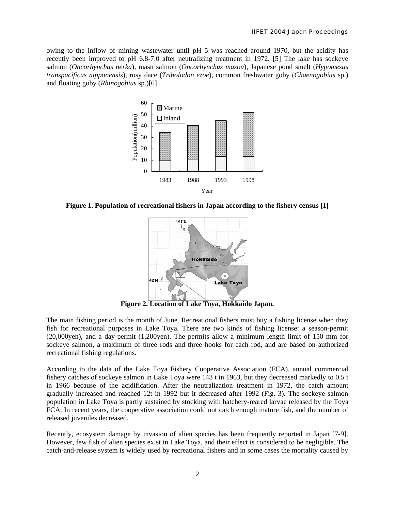owing to the inflow of mining wastewater until pH 5 was reached around 1970, but the acidity has recently been improved to pH 6.8-7.0 after neutralizing treatment in 1972. [5] The lake has sockeye salmon (*Oncorhynchus nerka*), masu salmon (*Oncorhynchus masou*), Japanese pond smelt (*Hypomesus transpacificus nipponensis*), rosy dace (*Tribolodon ezoe*), common freshwater goby (*Chaenogobius* sp.) and floating goby (*Rhinogobius* sp.)[6]



**Figure 1. Population of recreational fishers in Japan according to the fishery census [1]** 



**Figure 2. Location of Lake Toya, Hokkaido Japan.** 

The main fishing period is the month of June. Recreational fishers must buy a fishing license when they fish for recreational purposes in Lake Toya. There are two kinds of fishing license: a season-permit (20,000yen), and a day-permit (1,200yen). The permits allow a minimum length limit of 150 mm for sockeye salmon, a maximum of three rods and three hooks for each rod, and are based on authorized recreational fishing regulations.

According to the data of the Lake Toya Fishery Cooperative Association (FCA), annual commercial fishery catches of sockeye salmon in Lake Toya were 143 t in 1963, but they decreased markedly to 0.5 t in 1966 because of the acidification. After the neutralization treatment in 1972, the catch amount gradually increased and reached 12t in 1992 but it decreased after 1992 (Fig. 3). The sockeye salmon population in Lake Toya is partly sustained by stocking with hatchery-reared larvae released by the Toya FCA. In recent years, the cooperative association could not catch enough mature fish, and the number of released juveniles decreased.

Recently, ecosystem damage by invasion of alien species has been frequently reported in Japan [7-9]. However, few fish of alien species exist in Lake Toya, and their effect is considered to be negligible. The catch-and-release system is widely used by recreational fishers and in some cases the mortality caused by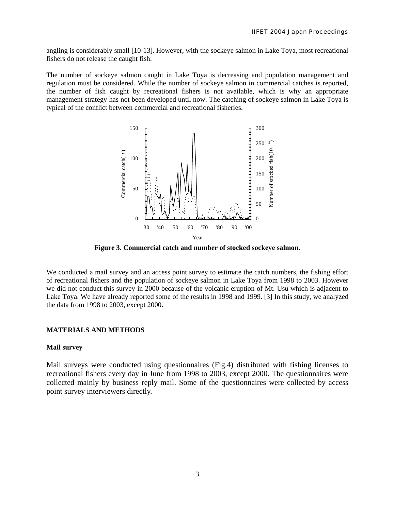angling is considerably small [10-13]. However, with the sockeye salmon in Lake Toya, most recreational fishers do not release the caught fish.

The number of sockeye salmon caught in Lake Toya is decreasing and population management and regulation must be considered. While the number of sockeye salmon in commercial catches is reported, the number of fish caught by recreational fishers is not available, which is why an appropriate management strategy has not been developed until now. The catching of sockeye salmon in Lake Toya is typical of the conflict between commercial and recreational fisheries.



**Figure 3. Commercial catch and number of stocked sockeye salmon.** 

We conducted a mail survey and an access point survey to estimate the catch numbers, the fishing effort of recreational fishers and the population of sockeye salmon in Lake Toya from 1998 to 2003. However we did not conduct this survey in 2000 because of the volcanic eruption of Mt. Usu which is adjacent to Lake Toya. We have already reported some of the results in 1998 and 1999. [3] In this study, we analyzed the data from 1998 to 2003, except 2000.

#### **MATERIALS AND METHODS**

## **Mail survey**

Mail surveys were conducted using questionnaires (Fig.4) distributed with fishing licenses to recreational fishers every day in June from 1998 to 2003, except 2000. The questionnaires were collected mainly by business reply mail. Some of the questionnaires were collected by access point survey interviewers directly.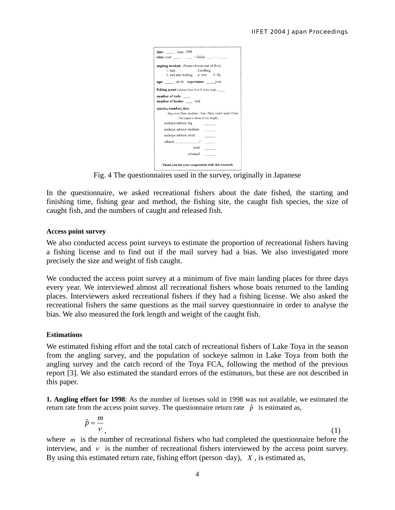| date: June, 1999                                                |
|-----------------------------------------------------------------|
| <b>time:</b> start $\qquad$ : $\qquad$ $\sim$ finish $\qquad$ : |
| angling method: (Please choose one of five)                     |
| 1. hait<br>2.trolling                                           |
| 3. bait and trolling 4. lure 5. fly                             |
|                                                                 |
| age: (m·f) experience: year                                     |
| <b>fishing point:</b> (choose from A to N in the map)           |
| number of rods:                                                 |
| number of hooks: /rod                                           |
|                                                                 |
| species, number, size:                                          |
| (big: over 30cm, medium: 15cm~30cm, small: under 15cm)          |
| This paper is about 15 cm length                                |
|                                                                 |
| sockeye salmon big                                              |
| sockeye salmon medium                                           |
| sockeye salmon small                                            |
| others( )                                                       |
| total                                                           |
| released                                                        |
| Thank you for your cooperation with this research.              |

Fig. 4 The questionnaires used in the survey, originally in Japanese

In the questionnaire, we asked recreational fishers about the date fished, the starting and finishing time, fishing gear and method, the fishing site, the caught fish species, the size of caught fish, and the numbers of caught and released fish.

#### **Access point survey**

We also conducted access point surveys to estimate the proportion of recreational fishers having a fishing license and to find out if the mail survey had a bias. We also investigated more precisely the size and weight of fish caught.

We conducted the access point survey at a minimum of five main landing places for three days every year. We interviewed almost all recreational fishers whose boats returned to the landing places. Interviewers asked recreational fishers if they had a fishing license. We also asked the recreational fishers the same questions as the mail survey questionnaire in order to analyse the bias. We also measured the fork length and weight of the caught fish.

# **Estimations**

We estimated fishing effort and the total catch of recreational fishers of Lake Toya in the season from the angling survey, and the population of sockeye salmon in Lake Toya from both the angling survey and the catch record of the Toya FCA, following the method of the previous report [3]. We also estimated the standard errors of the estimators, but these are not described in this paper.

**1. Angling effort for 1998**: As the number of licenses sold in 1998 was not available, we estimated the return rate from the access point survey. The questionnaire return rate  $\hat{p}$  is estimated as,

$$
\hat{p} = \frac{m}{v},\tag{1}
$$

where  $m$  is the number of recreational fishers who had completed the questionnaire before the interview, and  $\nu$  is the number of recreational fishers interviewed by the access point survey. By using this estimated return rate, fishing effort (person ·day), *X* , is estimated as,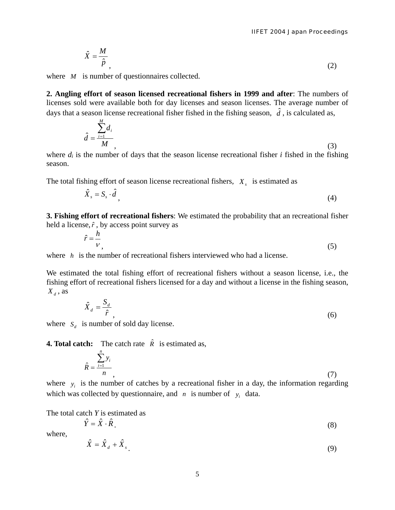$$
\hat{X} = \frac{M}{\hat{p}}\tag{2}
$$

where *M* is number of questionnaires collected.

**2. Angling effort of season licensed recreational fishers in 1999 and after**: The numbers of licenses sold were available both for day licenses and season licenses. The average number of days that a season license recreational fisher fished in the fishing season,  $\hat{d}$ , is calculated as,

$$
\hat{d} = \frac{\sum_{i=1}^{M} d_i}{M},
$$
\n(3)

where  $d_i$  is the number of days that the season license recreational fisher  $i$  fished in the fishing season.

The total fishing effort of season license recreational fishers,  $X<sub>s</sub>$  is estimated as

$$
\hat{X}_s = S_s \cdot \hat{d},\tag{4}
$$

**3. Fishing effort of recreational fishers**: We estimated the probability that an recreational fisher held a license,  $\hat{r}$ , by access point survey as

$$
\hat{r} = \frac{h}{v},\tag{5}
$$

where *h* is the number of recreational fishers interviewed who had a license.

We estimated the total fishing effort of recreational fishers without a season license, i.e., the fishing effort of recreational fishers licensed for a day and without a license in the fishing season,  $X_d$ , as

$$
\hat{X}_d = \frac{S_d}{\hat{r}},\tag{6}
$$

where  $S_d$  is number of sold day license.

**4. Total catch:** The catch rate  $\hat{R}$  is estimated as,

$$
\hat{R} = \frac{\sum_{i=1}^{n} y_i}{n},\tag{7}
$$

where  $y_i$  is the number of catches by a recreational fisher in a day, the information regarding which was collected by questionnaire, and  $n$  is number of  $y_i$  data.

The total catch *Y* is estimated as

$$
\hat{Y} = \hat{X} \cdot \hat{R} \tag{8}
$$

where,

$$
\hat{X} = \hat{X}_d + \hat{X}_s \tag{9}
$$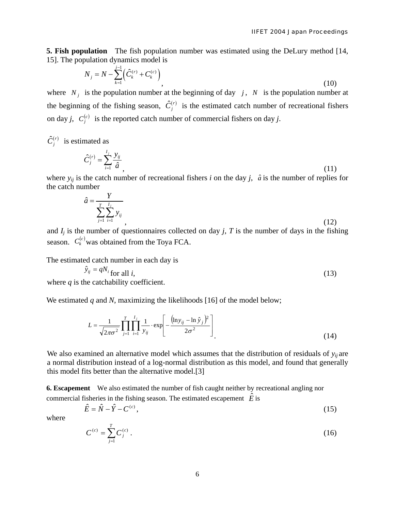**5. Fish population** The fish population number was estimated using the DeLury method [14, 15]. The population dynamics model is

$$
N_{j} = N - \sum_{k=1}^{j-1} \left( \hat{C}_{k}^{(r)} + C_{k}^{(c)} \right),
$$
\n(10)

where  $N_j$  is the population number at the beginning of day  $j$ ,  $N$  is the population number at the beginning of the fishing season,  $\hat{C}_j^{(r)}$  is the estimated catch number of recreational fishers on day *j*,  $C_i^{(c)}$  is the reported catch number of commercial fishers on day *j*.

 $\hat{C}_i^{(r)}$  is estimated as

$$
\hat{C}_j^{(r)} = \sum_{i=1}^{I_j} \frac{y_{ij}}{\hat{a}},\tag{11}
$$

where  $y_{ij}$  is the catch number of recreational fishers *i* on the day *j*,  $\hat{a}$  is the number of replies for the catch number

$$
\hat{a} = \frac{Y}{\sum_{j=1}^{T} \sum_{i=1}^{I_j} y_{ij}},
$$
\n(12)

and  $I_j$  is the number of questionnaires collected on day  $j$ ,  $T$  is the number of days in the fishing season.  $C_k^{(c)}$  was obtained from the Toya FCA.

The estimated catch number in each day is

$$
\hat{y}_{ij} = qN_i \text{ for all } i,
$$
\n(13)

\nthe set of a bit. (13)

where  $q$  is the catchability coefficient.

We estimated *q* and *N*, maximizing the likelihoods [16] of the model below;

$$
L = \frac{1}{\sqrt{2\pi\sigma^2}} \prod_{j=1}^{T} \prod_{i=1}^{I_j} \frac{1}{y_{ij}} \cdot \exp\left[-\frac{(\ln y_{ij} - \ln \hat{y}_j)^2}{2\sigma^2}\right]
$$
(14)

We also examined an alternative model which assumes that the distribution of residuals of  $y_{ij}$  are a normal distribution instead of a log-normal distribution as this model, and found that generally this model fits better than the alternative model.[3]

**6. Escapement** We also estimated the number of fish caught neither by recreational angling nor commercial fisheries in the fishing season. The estimated escapement  $\hat{E}$  is

$$
\hat{E} = \hat{N} - \hat{Y} - C^{(c)},\tag{15}
$$

where

$$
C^{(c)} = \sum_{j=1}^{T} C_j^{(c)} \,. \tag{16}
$$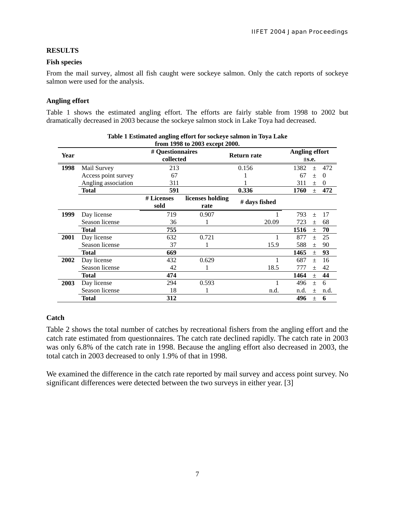## **RESULTS**

## **Fish species**

From the mail survey, almost all fish caught were sockeye salmon. Only the catch reports of sockeye salmon were used for the analysis.

# **Angling effort**

Table 1 shows the estimated angling effort. The efforts are fairly stable from 1998 to 2002 but dramatically decreased in 2003 because the sockeye salmon stock in Lake Toya had decreased.

| ole 1 modification anguing enore for boencye bannon in 1076 mane<br>from 1998 to 2003 except 2000. |                     |                               |                          |                    |                                |        |          |
|----------------------------------------------------------------------------------------------------|---------------------|-------------------------------|--------------------------|--------------------|--------------------------------|--------|----------|
| Year                                                                                               |                     | # Questionnaires<br>collected |                          | <b>Return rate</b> | <b>Angling effort</b><br>±s.e. |        |          |
| 1998                                                                                               | Mail Survey         | 213                           |                          | 0.156              | 1382                           | $+$    | 472      |
|                                                                                                    | Access point survey | 67                            |                          |                    | 67                             | $+$    | $\Omega$ |
|                                                                                                    | Angling association | 311                           |                          |                    | 311                            | $+$    | $\theta$ |
|                                                                                                    | Total               | 591                           |                          | 0.336              | 1760                           | $\pm$  | 472      |
|                                                                                                    |                     | # Licenses<br>sold            | licenses holding<br>rate | # days fished      |                                |        |          |
| 1999                                                                                               | Day license         | 719                           | 0.907                    |                    | 793                            | $+$    | 17       |
|                                                                                                    | Season license      | 36                            |                          | 20.09              | 723                            | $+$    | 68       |
|                                                                                                    | Total               | 755                           |                          |                    | 1516                           | $\pm$  | 70       |
| 2001                                                                                               | Day license         | 632                           | 0.721                    |                    | 877                            | $+$    | 25       |
|                                                                                                    | Season license      | 37                            |                          | 15.9               | 588                            | $\pm$  | 90       |
|                                                                                                    | Total               | 669                           |                          |                    | 1465                           | $\pm$  | 93       |
| 2002                                                                                               | Day license         | 432                           | 0.629                    |                    | 687                            | $^{+}$ | 16       |
|                                                                                                    | Season license      | 42                            |                          | 18.5               | 777                            | $+$    | 42       |
|                                                                                                    | Total               | 474                           |                          |                    | 1464                           | $\pm$  | 44       |
| 2003                                                                                               | Day license         | 294                           | 0.593                    |                    | 496                            | $\pm$  | 6        |
|                                                                                                    | Season license      | 18                            |                          | n.d.               | n.d.                           | $^{+}$ | n.d.     |
|                                                                                                    | Total               | 312                           |                          |                    | 496                            | $\pm$  | 6        |

# **Table 1 Estimated angling effort for sockeye salmon in Toya Lake**

# **Catch**

Table 2 shows the total number of catches by recreational fishers from the angling effort and the catch rate estimated from questionnaires. The catch rate declined rapidly. The catch rate in 2003 was only 6.8% of the catch rate in 1998. Because the angling effort also decreased in 2003, the total catch in 2003 decreased to only 1.9% of that in 1998.

We examined the difference in the catch rate reported by mail survey and access point survey. No significant differences were detected between the two surveys in either year. [3]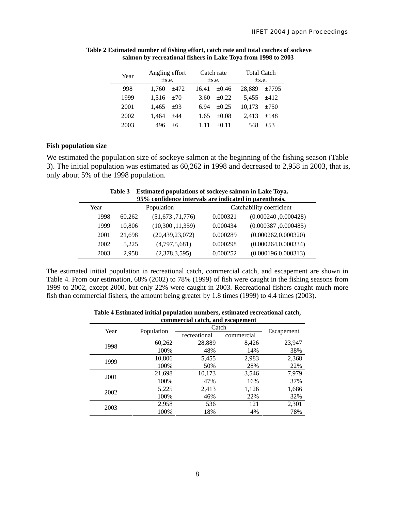| Year | Angling effort |       | Catch rate |            | <b>Total Catch</b> |        |  |
|------|----------------|-------|------------|------------|--------------------|--------|--|
|      | $\pm$ s.e.     |       | $\pm$ s.e. |            | $\pm$ s.e.         |        |  |
| 998  | 1.760          | ±472  | 16.41      | $\pm 0.46$ | 28,889             | ±7795  |  |
| 1999 | $1.516 + 70$   |       | 3.60       | $\pm 0.22$ | $5.455 + 412$      |        |  |
| 2001 | 1.465          | $+93$ | 6.94       | $\pm 0.25$ | 10,173             | $+750$ |  |
| 2002 | 1.464          | $+44$ | 1.65       | $+0.08$    | 2.413              | $+148$ |  |
| 2003 | 496            | $+6$  |            | $+0.11$    | 548                | $+53$  |  |

**Table 2 Estimated number of fishing effort, catch rate and total catches of sockeye salmon by recreational fishers in Lake Toya from 1998 to 2003**

# **Fish population size**

We estimated the population size of sockeye salmon at the beginning of the fishing season (Table 3). The initial population was estimated as 60,262 in 1998 and decreased to 2,958 in 2003, that is, only about 5% of the 1998 population.

| Louinated populations of society standard in Lance Toyle<br>95% confidence intervals are indicated in parenthesis. |            |                    |                          |                      |  |  |  |
|--------------------------------------------------------------------------------------------------------------------|------------|--------------------|--------------------------|----------------------|--|--|--|
| Year                                                                                                               | Population |                    | Catchability coefficient |                      |  |  |  |
| 1998                                                                                                               | 60,262     | (51,673,71,776)    | 0.000321                 | (0.000240, 0.000428) |  |  |  |
| 1999                                                                                                               | 10.806     | (10,300,11,359)    | 0.000434                 | (0.000387, 0.000485) |  |  |  |
| 2001                                                                                                               | 21.698     | (20, 439, 23, 072) | 0.000289                 | (0.000262, 0.000320) |  |  |  |
| 2002                                                                                                               | 5.225      | (4,797,5,681)      | 0.000298                 | (0.000264, 0.000334) |  |  |  |
| 2003                                                                                                               | 2,958      | (2,378,3,595)      | 0.000252                 | (0.000196, 0.000313) |  |  |  |

**Table 3 Estimated populations of sockeye salmon in Lake Toya.** 

The estimated initial population in recreational catch, commercial catch, and escapement are shown in Table 4. From our estimation, 68% (2002) to 78% (1999) of fish were caught in the fishing seasons from 1999 to 2002, except 2000, but only 22% were caught in 2003. Recreational fishers caught much more fish than commercial fishers, the amount being greater by 1.8 times (1999) to 4.4 times (2003).

| commercial catch, and escapement |            |              |            |        |  |  |  |
|----------------------------------|------------|--------------|------------|--------|--|--|--|
| Year                             | Population | Catch        | Escapement |        |  |  |  |
|                                  |            | recreational | commercial |        |  |  |  |
| 1998                             | 60,262     | 28,889       | 8,426      | 23,947 |  |  |  |
|                                  | 100%       | 48%          | 14%        | 38%    |  |  |  |
| 1999                             | 10,806     | 5,455        | 2,983      | 2,368  |  |  |  |
|                                  | 100%       | 50%          | 28%        | 22%    |  |  |  |
| 2001                             | 21,698     | 10,173       | 3,546      | 7,979  |  |  |  |
|                                  | 100%       | 47%          | 16%        | 37%    |  |  |  |
| 2002                             | 5,225      | 2,413        | 1,126      | 1,686  |  |  |  |
|                                  | 100%       | 46%          | 22%        | 32%    |  |  |  |
|                                  | 2,958      | 536          | 121        | 2,301  |  |  |  |
| 2003                             | 100%       | 18%          | 4%         | 78%    |  |  |  |

**Table 4 Estimated initial population numbers, estimated recreational catch,**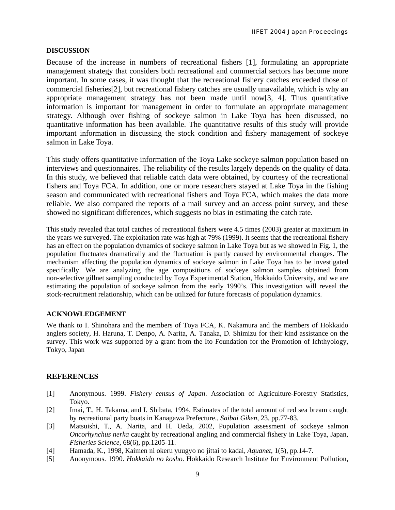#### **DISCUSSION**

Because of the increase in numbers of recreational fishers [1], formulating an appropriate management strategy that considers both recreational and commercial sectors has become more important. In some cases, it was thought that the recreational fishery catches exceeded those of commercial fisheries[2], but recreational fishery catches are usually unavailable, which is why an appropriate management strategy has not been made until now[3, 4]. Thus quantitative information is important for management in order to formulate an appropriate management strategy. Although over fishing of sockeye salmon in Lake Toya has been discussed, no quantitative information has been available. The quantitative results of this study will provide important information in discussing the stock condition and fishery management of sockeye salmon in Lake Toya.

This study offers quantitative information of the Toya Lake sockeye salmon population based on interviews and questionnaires. The reliability of the results largely depends on the quality of data. In this study, we believed that reliable catch data were obtained, by courtesy of the recreational fishers and Toya FCA. In addition, one or more researchers stayed at Lake Toya in the fishing season and communicated with recreational fishers and Toya FCA, which makes the data more reliable. We also compared the reports of a mail survey and an access point survey, and these showed no significant differences, which suggests no bias in estimating the catch rate.

This study revealed that total catches of recreational fishers were 4.5 times (2003) greater at maximum in the years we surveyed. The exploitation rate was high at 79% (1999). It seems that the recreational fishery has an effect on the population dynamics of sockeye salmon in Lake Toya but as we showed in Fig. 1, the population fluctuates dramatically and the fluctuation is partly caused by environmental changes. The mechanism affecting the population dynamics of sockeye salmon in Lake Toya has to be investigated specifically. We are analyzing the age compositions of sockeye salmon samples obtained from non-selective gillnet sampling conducted by Toya Experimental Station, Hokkaido University, and we are estimating the population of sockeye salmon from the early 1990's. This investigation will reveal the stock-recruitment relationship, which can be utilized for future forecasts of population dynamics.

#### **ACKNOWLEDGEMENT**

We thank to I. Shinohara and the members of Toya FCA, K. Nakamura and the members of Hokkaido anglers society, H. Haruna, T. Denpo, A. Narita, A. Tanaka, D. Shimizu for their kind assistance on the survey. This work was supported by a grant from the Ito Foundation for the Promotion of Ichthyology, Tokyo, Japan

### **REFERENCES**

- [1] Anonymous. 1999. *Fishery census of Japan*. Association of Agriculture-Forestry Statistics, Tokyo.
- [2] Imai, T., H. Takama, and I. Shibata, 1994, Estimates of the total amount of red sea bream caught by recreational party boats in Kanagawa Prefecture., *Saibai Giken*, 23, pp.77-83.
- [3] Matsuishi, T., A. Narita, and H. Ueda, 2002, Population assessment of sockeye salmon *Oncorhynchus nerka* caught by recreational angling and commercial fishery in Lake Toya, Japan, *Fisheries Science*, 68(6), pp.1205-11.
- [4] Hamada, K., 1998, Kaimen ni okeru yuugyo no jittai to kadai, *Aquanet*, 1(5), pp.14-7.
- [5] Anonymous. 1990. *Hokkaido no kosho*. Hokkaido Research Institute for Environment Pollution,